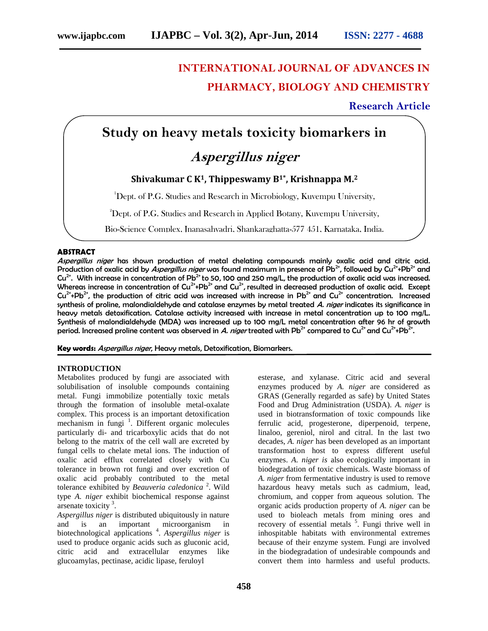# **INTERNATIONAL JOURNAL OF ADVANCES IN PHARMACY, BIOLOGY AND CHEMISTRY**

# **Research Article**

# **Study on heavy metals toxicity biomarkers in**

# *Aspergillus niger*

# **Shivakumar C K1, Thippeswamy B1\*, Krishnappa M.<sup>2</sup>**

<sup>1</sup>Dept. of P.G. Studies and Research in Microbiology, Kuvempu University,

<sup>2</sup>Dept. of P.G. Studies and Research in Applied Botany, Kuvempu University,

Bio-Science Complex, Jnanasahyadri, Shankaraghatta-577 451, Karnataka, India.

# **ABSTRACT**

*Aspergillus niger* has shown production of metal chelating compounds mainly oxalic acid and citric acid. Production of oxalic acid by *Aspergillus niger* was found maximum in presence of Pb2+, followed by Cu2++Pb2+ and  $Cu^{2+}$ . With increase in concentration of Pb<sup>2+</sup> to 50, 100 and 250 mg/L, the production of oxalic acid was increased. Whereas increase in concentration of Cu<sup>2+</sup>+Pb<sup>2+</sup> and Cu<sup>2+</sup>, resulted in decreased production of oxalic acid. Except Cu<sup>2+</sup>+Pb<sup>2+</sup>, the production of citric acid was increased with increase in Pb<sup>2+</sup> and Cu<sup>2+</sup> concentration. Increased synthesis of proline, malondialdehyde and catalase enzymes by metal treated *A. niger* indicates its significance in heavy metals detoxification. Catalase activity increased with increase in metal concentration up to 100 mg/L. Synthesis of malondialdehyde (MDA) was increased up to 100 mg/L metal concentration after 96 hr of growth period. Increased proline content was observed in *A. niger* treated with Pb<sup>2+</sup> compared to Cu<sup>2+</sup> and Cu<sup>2+</sup>+Pb<sup>2+</sup>.

**Key words:** *Aspergillus niger*, Heavy metals, Detoxification, Biomarkers.

# **INTRODUCTION**

Metabolites produced by fungi are associated with solubilisation of insoluble compounds containing metal. Fungi immobilize potentially toxic metals through the formation of insoluble metal-oxalate complex. This process is an important detoxification mechanism in fungi<sup>1</sup>. Different organic molecules particularly di- and tricarboxylic acids that do not belong to the matrix of the cell wall are excreted by fungal cells to chelate metal ions. The induction of oxalic acid efflux correlated closely with Cu tolerance in brown rot fungi and over excretion of oxalic acid probably contributed to the metal tolerance exhibited by *Beauveria caledonica* <sup>2</sup> . Wild type *A. niger* exhibit biochemical response against arsenate toxicity<sup>3</sup>.

*Aspergillus niger* is distributed ubiquitously in nature and is an important microorganism in biotechnological applications <sup>4</sup> .*Aspergillus niger* is used to produce organic acids such as gluconic acid, citric acid and extracellular enzymes like glucoamylas, pectinase, acidic lipase, feruloyl

esterase, and xylanase. Citric acid and several enzymes produced by *A. niger* are considered as GRAS (Generally regarded as safe) by United States Food and Drug Administration (USDA). *A. niger* is used in biotransformation of toxic compounds like ferrulic acid, progesterone, diperpenoid, terpene, linaloo, gereniol, nirol and citral. In the last two decades, *A. niger* has been developed as an important transformation host to express different useful enzymes. *A. niger is* also ecologically important in biodegradation of toxic chemicals. Waste biomass of *A. niger* from fermentative industry is used to remove hazardous heavy metals such as cadmium, lead, chromium, and copper from aqueous solution. The organic acids production property of *A. niger* can be used to bioleach metals from mining ores and recovery of essential metals <sup>5</sup>. Fungi thrive well in inhospitable habitats with environmental extremes because of their enzyme system. Fungi are involved in the biodegradation of undesirable compounds and convert them into harmless and useful products.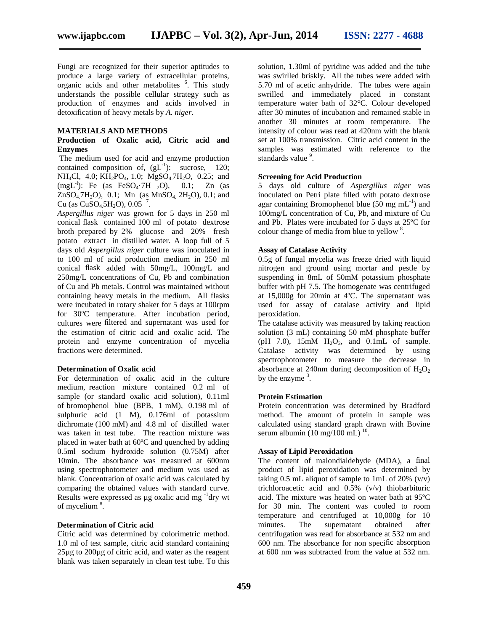Fungi are recognized for their superior aptitudes to produce a large variety of extracellular proteins, organic acids and other metabolites <sup>6</sup>. This study understands the possible cellular strategy such as production of enzymes and acids involved in detoxification of heavy metals by *A. niger*.

# **MATERIALS AND METHODS**

## **Production of Oxalic acid, Citric acid and Enzymes**

The medium used for acid and enzyme production contained composition of,  $(gL^{-1})$ : sucrose, 120; NH<sub>4</sub>Cl, 4.0; KH<sub>2</sub>PO<sub>4</sub>, 1.0; MgSO<sub>4</sub>7H<sub>2</sub>O, 0.25; and (mgL<sup>-1</sup>): Fe (as FeSO<sub>4</sub>·7H <sub>2</sub>O), 0.1; Zn (as  $ZnSO_4$ 7H<sub>2</sub>O), 0.1; Mn (as MnSO<sub>4,</sub> 2H<sub>2</sub>O), 0.1; and Cu (as  $CuSO_4.5H_2O$ ), 0.05<sup>7</sup>.

*Aspergillus niger* was grown for 5 days in 250 ml conical flask contained 100 ml of potato dextrose broth prepared by 2% glucose and 20% fresh potato extract in distilled water. A loop full of 5 days old *Aspergillus niger* culture was inoculated in to 100 ml of acid production medium in 250 ml conical flask added with 50mg/L, 100mg/L and 250mg/L concentrations of Cu, Pb and combination of Cu and Pb metals. Control was maintained without containing heavy metals in the medium. All flasks were incubated in rotary shaker for 5 days at 100rpm for 30ºC temperature. After incubation period, cultures were filtered and supernatant was used for the estimation of citric acid and oxalic acid. The protein and enzyme concentration of mycelia fractions were determined.

#### **Determination of Oxalic acid**

For determination of oxalic acid in the culture medium, reaction mixture contained 0.2 ml of sample (or standard oxalic acid solution), 0.11ml of bromophenol blue (BPB, 1 mM), 0.198 ml of sulphuric acid (1 M), 0.176ml of potassium dichromate (100 mM) and 4.8 ml of distilled water was taken in test tube. The reaction mixture was placed in water bath at 60ºC and quenched by adding 0.5ml sodium hydroxide solution (0.75M) after 10min. The absorbance was measured at 600nm using spectrophotometer and medium was used as blank. Concentration of oxalic acid was calculated by comparing the obtained values with standard curve. Results were expressed as  $\mu$ g oxalic acid mg<sup>-1</sup>dry wt of mycelium  $8$ .

## **Determination of Citric acid**

Citric acid was determined by colorimetric method. 1.0 ml of test sample, citric acid standard containing 25µg to 200µg of citric acid, and water as the reagent blank was taken separately in clean test tube. To this solution, 1.30ml of pyridine was added and the tube was swirlled briskly. All the tubes were added with 5.70 ml of acetic anhydride. The tubes were again swrilled and immediately placed in constant temperature water bath of 32°C. Colour developed after 30 minutes of incubation and remained stable in another 30 minutes at room temperature. The intensity of colour was read at 420nm with the blank set at 100% transmission. Citric acid content in the samples was estimated with reference to the standards value<sup>9</sup>.

## **Screening for Acid Production**

5 days old culture of *Aspergillus niger* was inoculated on Petri plate filled with potato dextrose agar containing Bromophenol blue  $(50 \text{ mg } \text{mL}^{-1})$  and 100mg/L concentration of Cu, Pb, and mixture of Cu and Pb. Plates were incubated for 5 days at 25ºC for colour change of media from blue to yellow <sup>8</sup>.

### **Assay of Catalase Activity**

0.5g of fungal mycelia was freeze dried with liquid nitrogen and ground using mortar and pestle by suspending in 8mL of 50mM potassium phosphate buffer with pH 7.5. The homogenate was centrifuged at 15,000g for 20min at 4ºC. The supernatant was used for assay of catalase activity and lipid peroxidation.

The catalase activity was measured by taking reaction solution (3 mL) containing 50 mM phosphate buffer (pH 7.0),  $15 \text{mM}$  H<sub>2</sub>O<sub>2</sub>, and  $0.1 \text{mL}$  of sample. Catalase activity was determined by using spectrophotometer to measure the decrease in absorbance at 240nm during decomposition of  $H_2O_2$ by the enzyme  $3$ .

## **Protein Estimation**

Protein concentration was determined by Bradford method. The amount of protein in sample was calculated using standard graph drawn with Bovine serum albumin  $(10 \text{ mg}/100 \text{ mL})$ <sup>10</sup>.

# **Assay of Lipid Peroxidation**

The content of malondialdehyde (MDA), a final product of lipid peroxidation was determined by taking 0.5 mL aliquot of sample to 1mL of 20%  $(v/v)$ trichloroacetic acid and  $0.5\%$  (v/v) thiobarbituric acid. The mixture was heated on water bath at 95ºC for 30 min. The content was cooled to room temperature and centrifuged at 10,000g for 10 minutes. The supernatant obtained after centrifugation was read for absorbance at 532 nm and 600 nm. The absorbance for non specific absorption at 600 nm was subtracted from the value at 532 nm.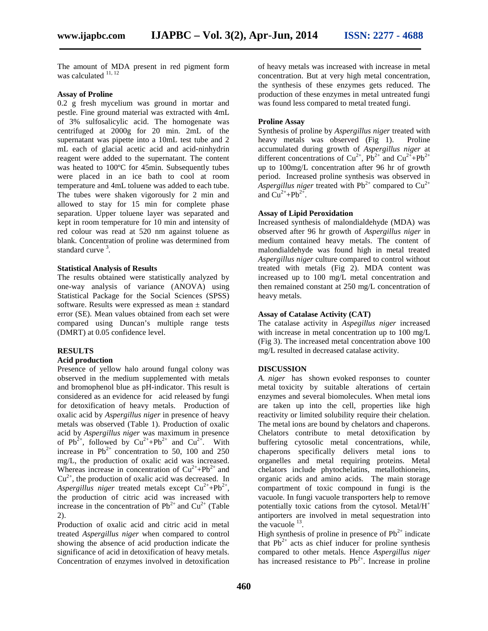The amount of MDA present in red pigment form was calculated <sup>11, 12</sup>

#### **Assay of Proline**

0.2 g fresh mycelium was ground in mortar and pestle. Fine ground material was extracted with 4mL of 3% sulfosalicylic acid. The homogenate was centrifuged at 2000g for 20 min. 2mL of the supernatant was pipette into a 10mL test tube and 2 mL each of glacial acetic acid and acid-ninhydrin reagent were added to the supernatant. The content was heated to 100ºC for 45min. Subsequently tubes were placed in an ice bath to cool at room temperature and 4mL toluene was added to each tube. The tubes were shaken vigorously for 2 min and allowed to stay for 15 min for complete phase separation. Upper toluene layer was separated and kept in room temperature for 10 min and intensity of red colour was read at 520 nm against toluene as blank. Concentration of proline was determined from standard curve <sup>3</sup>.

#### **Statistical Analysis of Results**

The results obtained were statistically analyzed by one-way analysis of variance (ANOVA) using Statistical Package for the Social Sciences (SPSS) software. Results were expressed as mean ± standard error (SE). Mean values obtained from each set were compared using Duncan's multiple range tests (DMRT) at 0.05 confidence level.

### **RESULTS**

#### **Acid production**

Presence of yellow halo around fungal colony was observed in the medium supplemented with metals and bromophenol blue as pH-indicator. This result is considered as an evidence for acid released by fungi for detoxification of heavy metals. Production of oxalic acid by *Aspergillus niger* in presence of heavy metals was observed (Table 1). Production of oxalic acid by *Aspergillus niger* was maximum in presence of  $Pb^{2+}$ , followed by  $Cu^{2+}+Pb^{2+}$  and  $Cu^{2+}$ . With increase in  $Pb^{2+}$  concentration to 50, 100 and 250 mg/L, the production of oxalic acid was increased. Whereas increase in concentration of  $Cu^{2+}+Pb^{2+}$  and  $Cu<sup>2+</sup>$ , the production of oxalic acid was decreased. In Aspergillus niger treated metals except  $Cu^{2+}+Pb^{2+}$ , the production of citric acid was increased with increase in the concentration of  $Pb^{2+}$  and  $Cu^{2+}$  (Table 2).

Production of oxalic acid and citric acid in metal treated *Aspergillus niger* when compared to control showing the absence of acid production indicate the significance of acid in detoxification of heavy metals. Concentration of enzymes involved in detoxification of heavy metals was increased with increase in metal concentration. But at very high metal concentration, the synthesis of these enzymes gets reduced. The production of these enzymes in metal untreated fungi was found less compared to metal treated fungi.

#### **Proline Assay**

Synthesis of proline by *Aspergillus niger* treated with heavy metals was observed (Fig 1). Proline accumulated during growth of *Aspergillus niger* at different concentrations of  $Cu^{2+}$ ,  $Pb^{2+}$  and  $Cu^{2+}$ + $Pb^{2+}$ up to 100mg/L concentration after 96 hr of growth period. Increased proline synthesis was observed in *Aspergillus niger* treated with  $Pb^{2+}$  compared to  $Cu^{2+}$ and  $Cu^{2+} + Pb^{2+}$ .

#### **Assay of Lipid Peroxidation**

Increased synthesis of malondialdehyde (MDA) was observed after 96 hr growth of *Aspergillus niger* in medium contained heavy metals. The content of malondialdehyde was found high in metal treated *Aspergillus niger* culture compared to control without treated with metals (Fig 2). MDA content was increased up to 100 mg/L metal concentration and then remained constant at 250 mg/L concentration of heavy metals.

#### **Assay of Catalase Activity (CAT)**

The catalase activity in *Aspegillus niger* increased with increase in metal concentration up to 100 mg/L (Fig 3). The increased metal concentration above 100 mg/L resulted in decreased catalase activity.

#### **DISCUSSION**

*A. niger* has shown evoked responses to counter metal toxicity by suitable alterations of certain enzymes and several biomolecules. When metal ions are taken up into the cell, properties like high reactivity or limited solubility require their chelation. The metal ions are bound by chelators and chaperons. Chelators contribute to metal detoxification by buffering cytosolic metal concentrations, while, chaperons specifically delivers metal ions to organelles and metal requiring proteins. Metal chelators include phytochelatins, metallothioneins, organic acids and amino acids. The main storage compartment of toxic compound in fungi is the vacuole. In fungi vacuole transporters help to remove potentially toxic cations from the cytosol. Metal/ $H^+$ antiporters are involved in metal sequestration into the vacuole  $^{13}$ .

High synthesis of proline in presence of  $Pb^{2+}$  indicate that  $Pb^{2+}$  acts as chief inducer for proline synthesis compared to other metals. Hence *Aspergillus niger* has increased resistance to  $Pb^{2+}$ . Increase in proline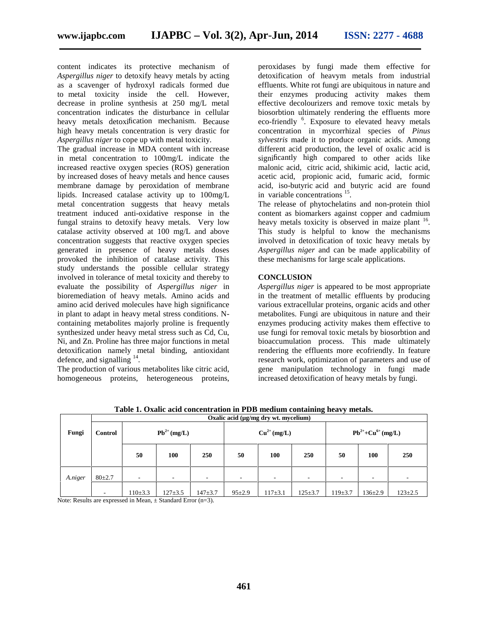content indicates its protective mechanism of *Aspergillus niger* to detoxify heavy metals by acting as a scavenger of hydroxyl radicals formed due to metal toxicity inside the cell. However, decrease in proline synthesis at 250 mg/L metal concentration indicates the disturbance in cellular heavy metals detoxification mechanism. Because high heavy metals concentration is very drastic for *Aspergillus niger* to cope up with metal toxicity.

The gradual increase in MDA content with increase in metal concentration to 100mg/L indicate the increased reactive oxygen species (ROS) generation by increased doses of heavy metals and hence causes membrane damage by peroxidation of membrane lipids. Increased catalase activity up to 100mg/L metal concentration suggests that heavy metals treatment induced anti-oxidative response in the fungal strains to detoxify heavy metals. Very low catalase activity observed at 100 mg/L and above concentration suggests that reactive oxygen species generated in presence of heavy metals doses provoked the inhibition of catalase activity. This study understands the possible cellular strategy involved in tolerance of metal toxicity and thereby to evaluate the possibility of *Aspergillus niger* in bioremediation of heavy metals. Amino acids and amino acid derived molecules have high significance in plant to adapt in heavy metal stress conditions. N containing metabolites majorly proline is frequently synthesized under heavy metal stress such as Cd, Cu, Ni, and Zn. Proline has three major functions in metal detoxification namely metal binding, antioxidant defence, and signalling  $14$ .

The production of various metabolites like citric acid, homogeneous proteins, heterogeneous proteins, peroxidases by fungi made them effective for detoxification of heavym metals from industrial effluents. White rot fungi are ubiquitous in nature and their enzymes producing activity makes them effective decolourizers and remove toxic metals by biosorbtion ultimately rendering the effluents more eco-friendly <sup>6</sup>. Exposure to elevated heavy metals concentration in mycorrhizal species of *Pinus sylvestris* made it to produce organic acids. Among different acid production, the level of oxalic acid is significantly high compared to other acids like malonic acid, citric acid, shikimic acid, lactic acid, acetic acid, propionic acid, fumaric acid, formic acid, iso-butyric acid and butyric acid are found in variable concentrations <sup>15</sup>.

The release of phytochelatins and non-protein thiol content as biomarkers against copper and cadmium heavy metals toxicity is observed in maize plant <sup>16</sup>. This study is helpful to know the mechanisms involved in detoxification of toxic heavy metals by *Aspergillus niger* and can be made applicability of these mechanisms for large scale applications.

# **CONCLUSION**

*Aspergillus niger* is appeared to be most appropriate in the treatment of metallic effluents by producing various extracellular proteins, organic acids and other metabolites. Fungi are ubiquitous in nature and their enzymes producing activity makes them effective to use fungi for removal toxic metals by biosorbtion and bioaccumulation process. This made ultimately rendering the effluents more ecofriendly. In feature research work, optimization of parameters and use of gene manipulation technology in fungi made increased detoxification of heavy metals by fungi.

| Fungi   | Oxalic acid (µg/mg dry wt. mycelium) |                          |                          |             |                          |                          |             |                          |                          |               |
|---------|--------------------------------------|--------------------------|--------------------------|-------------|--------------------------|--------------------------|-------------|--------------------------|--------------------------|---------------|
|         | <b>Control</b>                       | $Pb^{2+} (mg/L)$         |                          |             | $Cu^{2+} (mg/L)$         |                          |             | $Pb^{2+}+Cu^{6+} (mg/L)$ |                          |               |
|         |                                      | 50                       | 100                      | 250         | 50                       | 100                      | 250         | 50                       | 100                      | 250           |
| A.niger | $80+2.7$                             | $\overline{\phantom{a}}$ | $\overline{\phantom{a}}$ | ۰           | $\overline{\phantom{a}}$ | $\overline{\phantom{a}}$ | ۰           | $\overline{\phantom{a}}$ | $\overline{\phantom{a}}$ |               |
|         | ٠                                    | $110 \pm 3.3$            | $127 + 3.5$              | $147 + 3.7$ | $95 \pm 2.9$             | $117 + 3.1$              | $125 + 3.7$ | $119 + 3.7$              | $136 \pm 2.9$            | $123 \pm 2.5$ |

**Table 1. Oxalic acid concentration in PDB medium containing heavy metals.**

Note: Results are expressed in Mean,  $\pm$  Standard Error (n=3).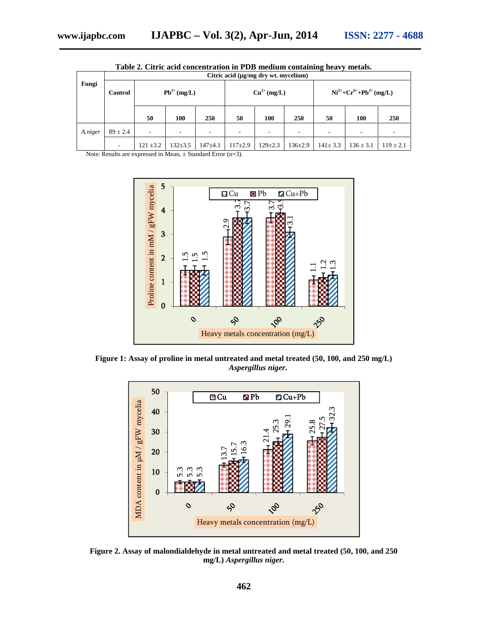| Fungi   | Citric acid (µg/mg dry wt. mycelium) |                  |               |                          |                          |               |               |                                  |                          |               |  |
|---------|--------------------------------------|------------------|---------------|--------------------------|--------------------------|---------------|---------------|----------------------------------|--------------------------|---------------|--|
|         | Control                              | $Pb^{2+} (mg/L)$ |               |                          | $Cu^{2+} (mg/L)$         |               |               | $Ni^{2+}+Cr^{6+}+Pb^{2+}$ (mg/L) |                          |               |  |
|         |                                      | 50               | 100           | 250                      | 50                       | 100           | 250           | 50                               | 100                      | 250           |  |
| A.niger | $89 \pm 2.4$                         | -                |               | $\overline{\phantom{a}}$ | $\overline{\phantom{a}}$ |               | ۰             | ۰                                | $\overline{\phantom{a}}$ | -             |  |
|         | $\overline{\phantom{a}}$             | $121 \pm 3.2$    | $132 \pm 3.5$ | $147 + 4.1$              | $117+2.9$                | $129 \pm 2.3$ | $136 \pm 2.9$ | $141 \pm 3.3$                    | $136 \pm 3.1$            | $119 \pm 2.1$ |  |

**Table 2. Citric acid concentration in PDB medium containing heavy metals.**

Note: Results are expressed in Mean, ± Standard Error (n=3).



**Figure 1: Assay of proline in metal untreated and metal treated (50, 100, and 250 mg/L)** *Aspergillus niger***.**



**Figure 2. Assay of malondialdehyde in metal untreated and metal treated (50, 100, and 250**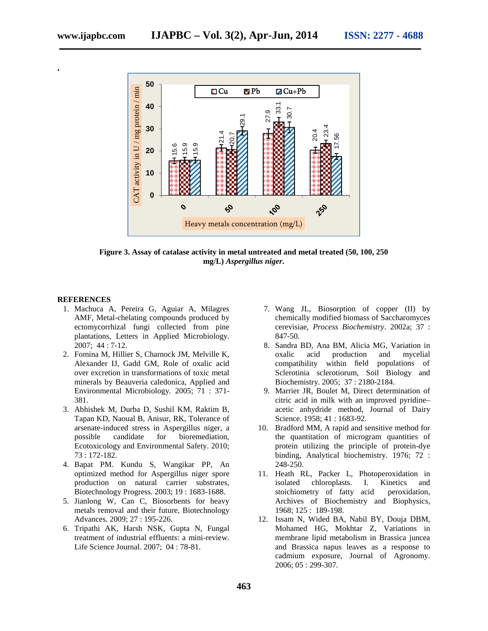**.**



**Figure 3. Assay of catalase activity in metal untreated and metal treated (50, 100, 250 mg/L)** *Aspergillus niger***.**

#### **REFERENCES**

- 1. Machuca A, Pereira G, Aguiar A, Milagres AMF, Metal-chelating compounds produced by ectomycorrhizal fungi collected from pine plantations, Letters in Applied Microbiology. 2007; 44 : 7-12.
- 2. Fomina M, Hillier S, Charnock JM, Melville K, Alexander IJ, Gadd GM, Role of oxalic acid over excretion in transformations of toxic metal minerals by Beauveria caledonica, Applied and Environmental Microbiology. 2005; 71 : 371- 381.
- 3. Abhishek M, Durba D, Sushil KM, Raktim B, Tapan KD, Naoual B, Anisur, RK, Tolerance of arsenate-induced stress in Aspergillus niger, a possible candidate for bioremediation, Ecotoxicology and Environmental Safety. 2010; 73 : 172-182.
- 4. Bapat PM. Kundu S, Wangikar PP, An optimized method for Aspergillus niger spore production on natural carrier substrates, Biotechnology Progress. 2003; 19 : 1683-1688.
- 5. Jianlong W, Can C, Biosorbents for heavy metals removal and their future, Biotechnology Advances. 2009; 27 : 195-226.
- 6. Tripathi AK, Harsh NSK, Gupta N, Fungal treatment of industrial effluents: a mini-review. Life Science Journal. 2007; 04 : 78-81.
- 7. Wang JL, Biosorption of copper (II) by chemically modified biomass of Saccharomyces cerevisiae, *Process Biochemistry*. 2002a; 37 : 847-50.
- 8. Sandra BD, Ana BM, Alicia MG, Variation in oxalic acid production and mycelial compatibility within field populations of Sclerotinia sclerotiorum, Soil Biology and Biochemistry. 2005; 37 : 2180-2184.
- 9. Marrier JR, Boulet M, Direct determination of citric acid in milk with an improved pyridine– acetic anhydride method, Journal of Dairy Science. 1958; 41 : 1683-92.
- 10. Bradford MM, A rapid and sensitive method for the quantitation of microgram quantities of protein utilizing the principle of protein-dye binding, Analytical biochemistry. 1976; 72 : 248-250.
- 11. Heath RL, Packer L, Photoperoxidation in isolated chloroplasts. I. Kinetics and stoichiometry of fatty acid peroxidation, Archives of Biochemistry and Biophysics, 1968; 125 : 189-198.
- 12. Issam N, Wided BA, Nabil BY, Douja DBM, Mohamed HG, Mokhtar Z, Variations in membrane lipid metabolism in Brassica juncea and Brassica napus leaves as a response to cadmium exposure, Journal of Agronomy.